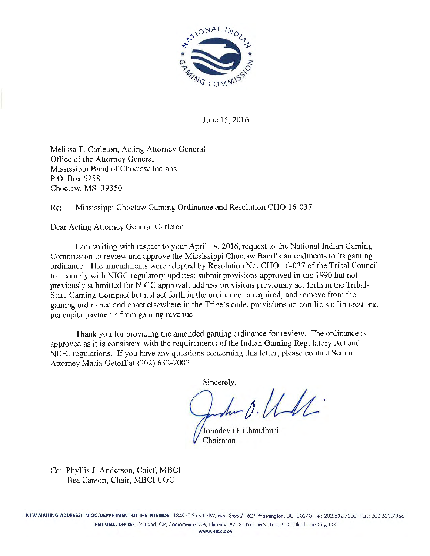

June 15, 2016

Melissa T. Carleton, Acting Attorney General Office of the Attorney General Mississippi Band of Choctaw Indians P.O. Box 6258 Choctaw, MS 39350

Re: Mississippi Choctaw Gaming Ordinance and Resolution CHO 16-037

Dear Acting Attorney General Carleton:

I am writing with respect to your April 14, 2016, request to the National Indian Gaming Commission to review and approve the Mississippi Choctaw Band's amendments to its gaming ordinance. The amendments were adopted by Resolution No. CHO 16-037 of the Tribal Council to: comply with NIGC regulatory updates; submit provisions approved in the 1990 but not previously submitted for NIGC approval; address provisions previously set forth in the Tribal-State Gaming Compact but not set forth in the ordinance as required; and remove from the gaming ordinance and enact elsewhere in the Tribe's code, provisions on conflicts of interest and per capita payments from gaming revenue

Thank you for providing the amended gaming ordinance for review. The ordinance is approved as it is consistent with the requirements of the Indian Gaming Regulatory Act and NIGC regulations. If you have any questions concerning this letter, please contact Senior Attorney Maria Getoff at (202) 632-7003.

Sincerely,

 $\Lambda$ 

Jonodev 0. Chaudhuri Chairman

Cc: Phyllis J. Anderson, Chief, MBCI Bea Carson, Chair, MBCI CGC

NEW MAILING ADDRESS: NIGC/DEPARTMENT OF THE INTERIOR 1849 C Street NW, Moil Stop # 1621 Washington, DC 20240 Tel: 202.632.7003 Fax: 202.632.7066 REGIONALOFflCES Portland, OR; Socromenlo, CA; Phoenix, AZ; St. Poul, MN; Tulsa OK; Oklahoma City, OK WWW.NIGC.GOV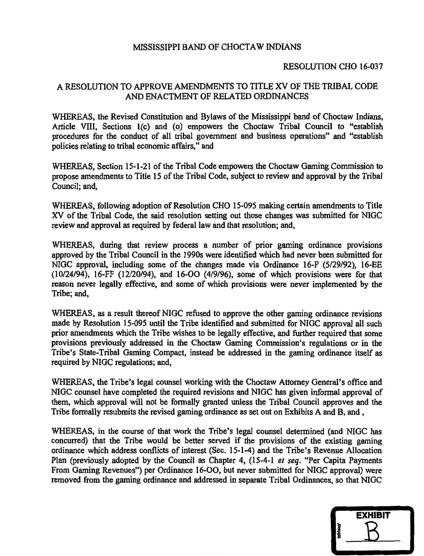### MISSISSIPPI BAND OF CHOCTAW INDIANS

### RESOLUTION CHO 16-037

### A RESOLUTION TO APPROVE AMENDMENTS TO TITLE XV OF THE TRIBAL CODE AND ENACTMENT OF RELATED ORDINANCES

WHEREAS, the Revised Constitution and Bylaws of the Mississippi band of Choctaw Indians, Article VIII, Sections 1(c) and (o) empowers the Choctaw Tribal Council to "establish procedures for the conduct of all tribal government and business operations" and "establish policies relating to tribal economic affairs," and

WHEREAS, Section 15-1-21 of the Tribal Code empowers the Choctaw Gaming Commission to propose amendments to Title 15 of the Tribal Code, subject to review and approval by the Tribal Council; and,

WHEREAS, following adoption of Resolution CHO 15-095 making certain amendments to Title XV of the Tribal Code, the said resolution setting out those changes was submitted for NIGC review and approval as required by federal law and that resolution; and,

WHEREAS, during that review process a number of prior gaming ordinance provisions approved by the Tribal Council in the 1990s were identified which had never been submitted for NIGC approval, including some of the changes made via Ordinance 16-P (5/29/92), 16-EE (10/24/94), 16-FF (12/20/94), and 16-00 (4/9/96), some of which provisions were for that reason never legally effective, and some of which provisions were never implemented by the Tribe; and,

WHEREAS, as a result thereof NIGC refused to approve the other gaming ordinance revisions made by Resolution 15-095 until the Tribe identified and submitted for NIGC approval all such prior amendments which the Tribe wishes to be legally effective, and further required that some provisions previously addressed in the Choctaw Gaming Commission's regulations or in the Tribe's State-Tribal Gaming Compact, instead be addressed in the gaming ordinance itself as required by NIGC regulations; and,

WHEREAS, the Tribe's legal counsel working with the Choctaw Attorney General's office and NIGC counsel have completed the required revisions and NIGC has given informal approval of them, which approval will not be formally granted unless the Tribal Council approves and the Tribe formally resubmits the revised gaming ordinance as set out on Exhibits A and B, and,

WHEREAS, in the course of that work the Tribe's legal counsel determined (and NIGC has concurred) that the Tribe would be better served if the provisions of the existing gaming ordinance which address conflicts of interest (Sec. 15-1-4) and the Tribe's Revenue Allocation Plan (previously adopted by the Council as Chapter 4, (15-4-1 *et seq.* "Per Capita Payments From Gaming Revenues'') per Ordinance 16-00, but never submitted for NIGC approval) were removed from the gaming ordinance and addressed in separate Tribal Ordinances, so that NIGC

|         | <b>EXHIBIT</b> |
|---------|----------------|
|         |                |
| tabbles |                |
|         |                |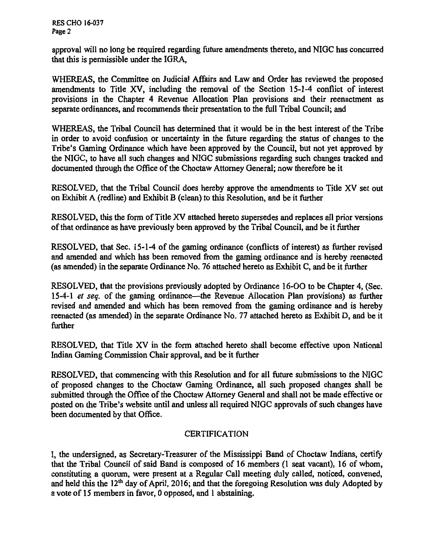RES CHO 16-037 Page 2

approval will no long be required regarding future amendments thereto, and NIGC has concurred that this is permissible under the IGRA,

WHEREAS, the Committee on Judicial Affairs and Law and Order has reviewed the proposed amendments to Title XV, including the removal of the Section 15-1-4 conflict of interest provisions in the Chapter 4 Revenue Allocation Plan provisions and their reenactment as separate ordinances, and recommends their presentation to the full Tribal Council; and

WHEREAS, the Tribal Council has determined that it would be in the best interest of the Tribe in order to avoid confusion or uncertainty in the future regarding the status of changes to the Tribe's Gaming Ordinance which have been approved by the Council, but not yet approved by the NIGC, to have all such changes and NIGC submissions regarding such changes tracked and documented through the Office of the Choctaw Attorney General; now therefore be it

RESOLVED, that the Tribal Council does hereby approve the amendments to Title XV set out on Exhibit A (redline) and Exhibit B (clean) to this Resolution, and be it further

RESOLVED, this the form of Title XV attached hereto supersedes and replaces all prior versions of that ordinance as have previously been approved by the Tribal Council, and be it further

RESOLVED, that Sec. 15-1-4 of the gaming ordinance (conflicts of interest) as further revised and amended and which has been removed from the gaming ordinance and is hereby reenacted (as amended) in the separate Ordinance No. 76 attached hereto as Exhibit C, and be it further

RESOLVED, that the provisions previously adopted by Ordinance 16-00 to be Chapter 4, (Sec. 15-4-1 *et seq.* of the gaming ordinance-the Revenue Allocation Plan provisions) as further revised and amended and which has been removed from the gaming ordinance and is hereby reenacted (as amended) in the separate Ordinance No. 77 attached hereto as Exhibit D, and be it further

RESOLVED, that Title XV in the form attached hereto shall become effective upon National Indian Gaming Commission Chair approval, and be it further

RESOLVED, that commencing with this Resolution and for all future submissions to the NIGC of proposed changes to the Choctaw Gaming Ordinance, all such proposed changes shall be submitted through the Office of the Choctaw Attorney General and shall not be made effective or posted on the Tribe's website until and unless all required NIGC approvals of such changes have been documented by that Office.

### CERTIFICATION

I, the undersigned, as Secretary-Treasurer of the Mississippi Band of Choctaw Indians, certify that the Tribal Council of said Band is composed of 16 members (1 seat vacant), 16 of whom, constituting a quorum, were present at a Regular Call meeting duly called, noticed, convened, and held this the 12•h day of April, 2016; and that the foregoing Resolution was duly Adopted by a vote of 15 members in favor, 0 opposed, and 1 abstaining.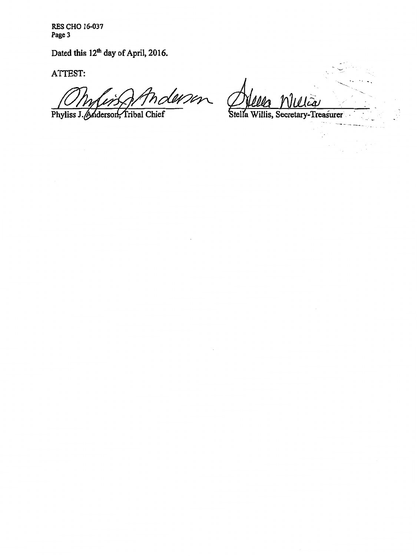RES CHO 16-037 Page 3

Dated this 12<sup>th</sup> day of April, 2016.

ATTEST:

derson

Phyliss J. Anderson, Tribal Chief

رمیرا

Stella

-·--- - - ----

V.

Ç,  $\bar{z}$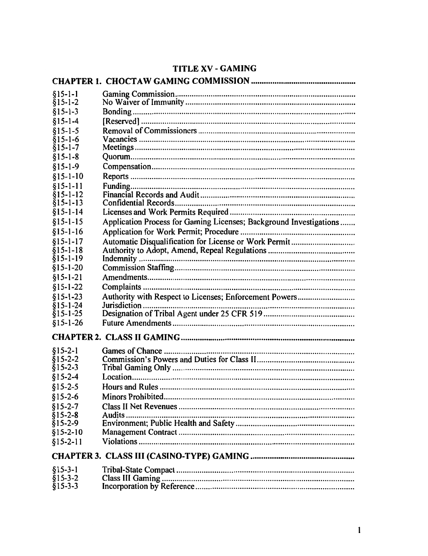# TITLE XV - GAMING

| $§15-1-1$            |                                                                    |  |
|----------------------|--------------------------------------------------------------------|--|
| $§15-1-2$            |                                                                    |  |
| $§15-1-3$            |                                                                    |  |
| $§15 - 1 - 4$        |                                                                    |  |
| $§15 - 1 - 5$        |                                                                    |  |
| $§15-1-6$            |                                                                    |  |
| $§15 - 1 - 7$        |                                                                    |  |
| $§15 - 1 - 8$        |                                                                    |  |
| $§15 - 1 - 9$        |                                                                    |  |
| $$15-1-10$           |                                                                    |  |
| $§15 - 1 - 11$       |                                                                    |  |
| $§15 - 1 - 12$       |                                                                    |  |
| $§15 - 1 - 13$       |                                                                    |  |
| $§15 - 1 - 14$       |                                                                    |  |
| $$15-1-15$           | Application Process for Gaming Licenses; Background Investigations |  |
| $$15-1-16$           |                                                                    |  |
| $$15-1-17$           | Automatic Disqualification for License or Work Permit              |  |
| $$15-1-18$           |                                                                    |  |
| $§15 - 1 - 19$       |                                                                    |  |
| $§15 - 1 - 20$       |                                                                    |  |
| $§15 - 1 - 21$       |                                                                    |  |
| $$15 - 1 - 22$       |                                                                    |  |
| $$15 - 1 - 23$       | Authority with Respect to Licenses; Enforcement Powers             |  |
| $$15-1-24$           |                                                                    |  |
| $§15 - 1 - 25$       |                                                                    |  |
| $$15-1-26$           |                                                                    |  |
|                      |                                                                    |  |
| $$15-2-1$            |                                                                    |  |
| $$15-2-2$            |                                                                    |  |
| $§15 - 2 - 3$        |                                                                    |  |
| $$15-2-4$            |                                                                    |  |
| $$15-2-5$            |                                                                    |  |
| $$15-2-6$            | Minors Prohibited.                                                 |  |
| $$15-2-7$            |                                                                    |  |
| $$15-2-8$            |                                                                    |  |
| $§15 - 2 - 9$        |                                                                    |  |
| $$15-2-10$           |                                                                    |  |
| $$15-2-11$           |                                                                    |  |
|                      |                                                                    |  |
|                      |                                                                    |  |
| $§15-3-1$            |                                                                    |  |
| $§15-3-2$<br>§15-3-3 |                                                                    |  |
|                      |                                                                    |  |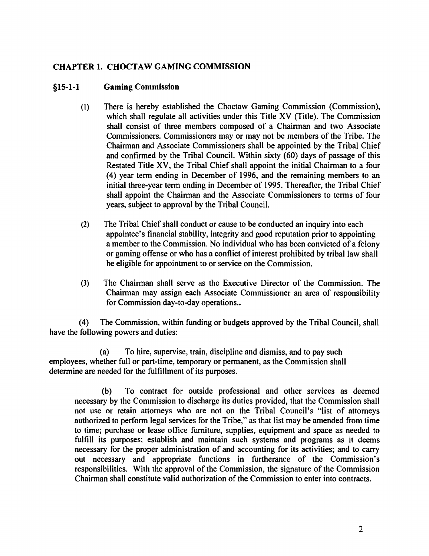## CHAPTER 1. CHOCTAW GAMING COMMISSION

#### §15-1-1 Gaming Commission

- (l) There is hereby established the Choctaw Gaming Commission (Commission), which shall regulate all activities under this Title XV (Title). The Commission shall consist of three members composed of a Chairman and two Associate Commissioners. Commissioners may or may not be members of the Tribe. The Chairman and Associate Commissioners shall be appointed by the Tribal Chief and confirmed by the Tribal Council. Within sixty (60) days of passage of this Restated Title XV, the Tribal Chief shall appoint the initial Chairman to a four (4) year term ending in December of 1996, and the remaining members to an initial three-year term ending in December of 1995. Thereafter, the Tribal Chief shall appoint the Chairman and the Associate Commissioners to terms of four years, subject to approval by the Tribal Council.
- (2) The Tribal Chief shall conduct or cause to be conducted an inquiry into each appointee's financial stability, integrity and good reputation prior to appointing a member to the Commission. No individual who has been convicted of a felony or gaming offense or who has a conflict of interest prohibited by tribal law shall be eligible for appointment to or service on the Commission.
- (3) The Chairman shall serve as the Executive Director of the Commission. The Chairman may assign each Associate Commissioner an area of responsibility for Commission day-to-day operations..

(4) The Commission, within funding or budgets approved by the Tribal Council, shall have the following powers and duties:

(a) To hire, supervise, train, discipline and dismiss, and to pay such employees, whether full or part-time, temporary or permanent, as the Commission shall determine are needed for the fulfillment of its purposes.

(b) To contract for outside professional and other services as deemed necessary by the Commission to discharge its duties provided, that the Commission shall not use or retain attorneys who are not on the Tribal Council's "list of attorneys authorized to perform legal services for the Tribe," as that list may be amended from time to time; purchase or lease office furniture, supplies, equipment and space as needed to fulfill its purposes; establish and maintain such systems and programs as it deems necessary for the proper administration of and accounting for its activities; and to carry out necessary and appropriate functions in furtherance of the Commission's responsibilities. With the approval of the Commission, the signature of the Commission Chairman shall constitute valid authorization of the Commission to enter into contracts.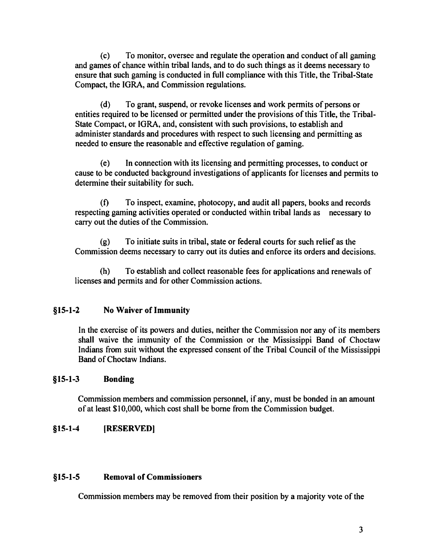(c) To monitor, oversee and regulate the operation and conduct of all gaming and games of chance within tribal lands, and to do such things as it deems necessary to ensure that such gaming is conducted in full compliance with this Title, the Tribal-State Compact, the IGRA, and Commission regulations.

(d) To grant, suspend, or revoke licenses and work permits of persons or entities required to be licensed or permitted under the provisions of this Title, the Tribal-State Compact, or IGRA, and, consistent with such provisions, to establish and administer standards and procedures with respect to such licensing and permitting as needed to ensure the reasonable and effective regulation of gaming.

( e) In connection with its licensing and permitting processes, to conduct or cause to be conducted background investigations of applicants for licenses and permits to determine their suitability for such.

(f) To inspect, examine, photocopy, and audit all papers, books and records respecting gaming activities operated or conducted within tribal lands as necessary to carry out the duties of the Commission.

(g) To initiate suits in tribal, state or federal courts for such relief as the Commission deems necessary to carry out its duties and enforce its orders and decisions.

(h) To establish and collect reasonable fees for applications and renewals of licenses and permits and for other Commission actions.

## §15-1-2 No Waiver of Immunity

In the exercise of its powers and duties, neither the Commission nor any of its members shall waive the immunity of the Commission or the Mississippi Band of Choctaw Indians from suit without the expressed consent of the Tribal Council of the Mississippi Band of Choctaw Indians.

### §15-1-3 Bonding

Commission members and commission personnel, if any, must be bonded in an amount of at least \$10,000, which cost shall be borne from the Commission budget.

### §15-1-4 (RESERVED]

### §15-1-5 Removal of Commissioners

Commission members may be removed from their position by a majority vote of the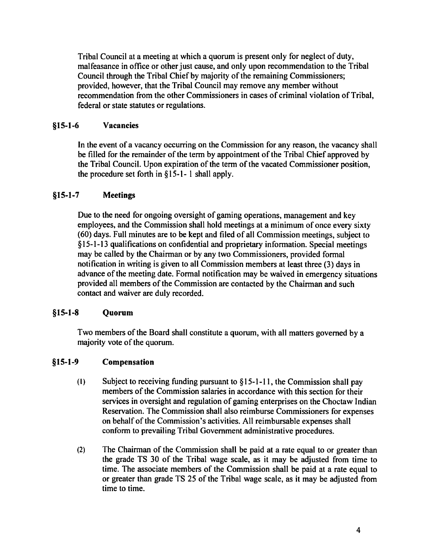Tribal Council at a meeting at which a quorum is present only for neglect of duty, malfeasance in office or other just cause, and only upon recommendation to the Tribal Council through the Tribal Chief by majority of the remaining Commissioners; provided, however, that the Tribal Council may remove any member without recommendation from the other Commissioners in cases of criminal violation of Tribal, federal or state statutes or regulations.

## §15-1-6 Vacancies

In the event of a vacancy occurring on the Commission for any reason, the vacancy shall be filled for the remainder of the term by appointment of the Tribal Chief approved by the Tribal Council. Upon expiration of the term of the vacated Commissioner position, the procedure set forth in § 15-1- l shall apply.

## §15-1-7 Meetings

Due to the need for ongoing oversight of gaming operations, management and key employees, and the Commission shall hold meetings at a minimum of once every sixty (60) days. Full minutes are to be kept and filed of all Commission meetings, subject to § 15-1-13 qualifications on confidential and proprietary information. Special meetings may be called by the Chairman or by any two Commissioners, provided formal notification in writing is given to all Commission members at least three (3) days in advance of the meeting date. Formal notification may be waived in emergency situations provided all members of the Commission are contacted by the Chairman and such contact and waiver are duly recorded.

### §15-1-8 Quorum

Two members of the Board shall constitute a quorum, with all matters governed by a majority vote of the quorum.

#### §15-1-9 Compensation

- (I) Subject to receiving funding pursuant to  $§15-1-11$ , the Commission shall pay members of the Commission salaries in accordance with this section for their services in oversight and regulation of gaming enterprises on the Choctaw Indian Reservation. The Commission shall also reimburse Commissioners for expenses on behalf of the Commission's activities. All reimbursable expenses shall conform to prevailing Tribal Government administrative procedures.
- (2) The Chairman of the Commission shall be paid at a rate equal to or greater than the grade TS 30 of the Tribal wage scale, as it may be adjusted from time to time. The associate members of the Commission shall be paid at a rate equal to or greater than grade TS 25 of the Tribal wage scale, as it may be adjusted from time to time.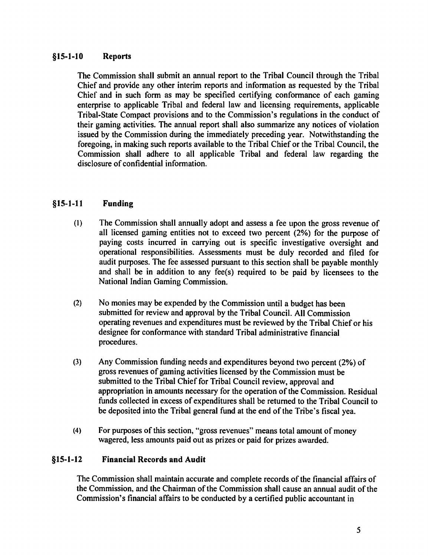## §15-1-10 Reports

The Commission shall submit an annual report to the Tribal Council through the Tribal Chief and provide any other interim reports and information as requested by the Tribal Chief and in such form as may be specified certifying conformance of each gaming enterprise to applicable Tribal and federal law and licensing requirements, applicable Tribal-State Compact provisions and to the Commission's regulations in the conduct of their gaming activities. The annual report shall also summarize any notices of violation issued by the Commission during the immediately preceding year. Notwithstanding the foregoing, in making such reports available to the Tribal Chief or the Tribal Council, the Commission shall adhere to all applicable Tribal and federal law regarding the disclosure of confidential information.

#### §15-1-11 Funding

- (I) The Commission shall annually adopt and assess a fee upon the gross revenue of all licensed gaming entities not to exceed two percent (2%) for the purpose of paying costs incurred in carrying out is specific investigative oversight and operational responsibilities. Assessments must be duly recorded and filed for audit purposes. The fee assessed pursuant to this section shall be payable monthly and shall be in addition to any fee(s) required to be paid by licensees to the National Indian Gaming Commission.
- (2) No monies may be expended by the Commission until a budget has been submitted for review and approval by the Tribal Council. All Commission operating revenues and expenditures must be reviewed by the Tribal Chief or his designee for conformance with standard Tribal administrative financial procedures.
- (3) Any Commission funding needs and expenditures beyond two percent (2%) of gross revenues of gaming activities licensed by the Commission must be submitted to the Tribal Chief for Tribal Council review, approval and appropriation in amounts necessary for the operation of the Commission. Residual funds collected in excess of expenditures shall be returned to the Tribal Council to be deposited into the Tribal general fund at the end of the Tribe's fiscal yea.
- (4) For purposes of this section, "gross revenues" means total amount of money wagered, less amounts paid out as prizes or paid for prizes awarded.

#### §15-1-12 Financial Records and Audit

The Commission shall maintain accurate and complete records of the financial affairs of the Commission, and the Chairman of the Commission shall cause an annual audit of the Commission's financial affairs to be conducted by a certified public accountant in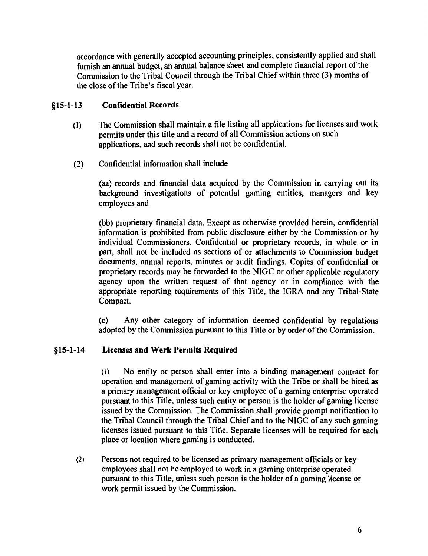accordance with generally accepted accounting principles, consistently applied and shall furnish an annual budget, an annual balance sheet and complete financial report of the Commission to the Tribal Council through the Tribal Chief within three (3) months of the close of the Tribe's fiscal year.

#### §15-1-13 Confidential Records

- (I) The Commission shall maintain a file listing all applications for licenses and work permits under this title and a record of all Commission actions on such applications, and such records shall not be confidential.
- (2) Confidential information shall include

(aa) records and financial data acquired by the Commission in carrying out its background investigations of potential gaming entities, managers and key employees and

(bb) proprietary financial data. Except as otherwise provided herein, confidential information is prohibited from public disclosure either by the Commission or by individual Commissioners. Confidential or proprietary records, in whole or in part, shall not be included as sections of or attachments to Commission budget documents, annual reports, minutes or audit findings. Copies of confidential or proprietary records may be forwarded to the NIGC or other applicable regulatory agency upon the written request of that agency or in compliance with the appropriate reporting requirements of this Title, the IGRA and any Tribal-State Compact.

( c) Any other category of information deemed confidential by regulations adopted by the Commission pursuant to this Title or by order of the Commission.

#### §15-1-14 Licenses and Work Permits Required

(I) No entity or person shall enter into a binding management contract for operation and management of gaming activity with the Tribe or shall be hired as a primary management official or key employee of a gaming enterprise operated pursuant to this Title, unless such entity or person is the holder of gaming license issued by the Commission. The Commission shall provide prompt notification to the Tribal Council through the Tribal Chief and to the NIGC of any such gaming licenses issued pursuant to this Title. Separate licenses will be required for each place or location where gaming is conducted.

(2) Persons not required to be licensed as primary management officials or key employees shall not be employed to work in a gaming enterprise operated pursuant to this Title, unless such person is the holder of a gaming license or work permit issued by the Commission.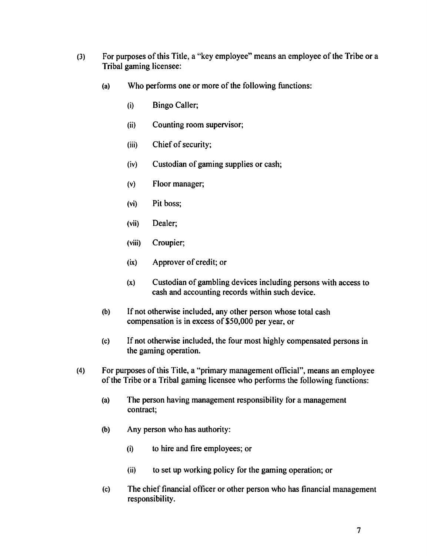- (3) For purposes of this Title, a "key employee" means an employee of the Tribe or a Tribal gaming licensee:
	- (a) Who performs one or more of the following functions:
		- (i) Bingo Caller;
		- (ii) Counting room supervisor;
		- (iii) Chief of security;
		- (iv) Custodian of gaming supplies or cash;
		- (v) Floor manager;
		- (vi) Pit boss;
		- (vii) Dealer;
		- (viii) Croupier;
		- (ix) Approver of credit; or
		- (x) Custodian of gambling devices including persons with access to cash and accounting records within such device.
	- (b) If not otherwise included, any other person whose total cash compensation is in excess of \$50,000 per year, or
	- (c) If not otherwise included, the four most highly compensated persons in the gaming operation.
- (4) For purposes of this Title, a "primary management official", means an employee of the Tribe or a Tribal gaming licensee who performs the following functions:
	- (a) The person having management responsibility for a management contract;
	- (b) Any person who has authority:
		- (i) to hire and fire employees; or
		- (ii) to set up working policy for the gaming operation; or
	- (c) The chief financial officer or other person who has financial management responsibility.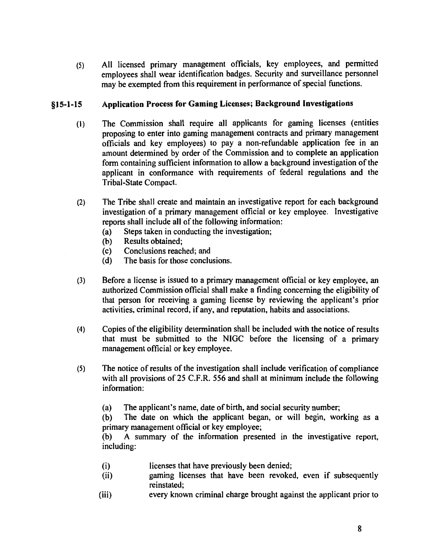(5) All licensed primary management officials, key employees, and permitted employees shall wear identification badges. Security and surveillance personnel may be exempted from this requirement in performance of special functions.

#### §15-1-15 Application Process for Gaming Licenses; Background Investigations

- (1) The Commission shall require all applicants for gaming licenses (entities proposing to enter into gaming management contracts and primary management officials and key employees) to pay a non-refundable application fee in an amount determined by order of the Commission and to complete an application form containing sufficient information to allow a background investigation of the applicant in conformance with requirements of federal regulations and the Tribal-State Compact.
- (2) The Tribe shall create and maintain an investigative report for each background investigation of a primary management official or key employee. Investigative reports shall include all of the following information:
	- (a) Steps taken in conducting the investigation;
	- (b) Results obtained;
	- ( c) Conclusions reached; and
	- (d) The basis for those conclusions.
- (3) Before a license is issued to a primary management official or key employee, an authorized Commission official shall make a finding concerning the eligibility of that person for receiving a gaming license by reviewing the applicant's prior activities, criminal record, if any, and reputation, habits and associations.
- (4) Copies of the eligibility determination shall be included with the notice of results that must be submitted to the NIGC before the licensing of a primary management official or key employee.
- (5) The notice of results of the investigation shall include verification of compliance with all provisions of 25 C.F.R. 556 and shall at minimum include the following information:
	- (a) The applicant's name, date of birth, and social security number;

(b) The date on which the applicant began, or will begin, working as a primary management official or key employee;

(b) A summary of the information presented in the investigative report, including:

- (i) licenses that have previously been denied;
- (ii) gaming licenses that have been revoked, even if subsequently reinstated;
- (iii) every known criminal charge brought against the applicant prior to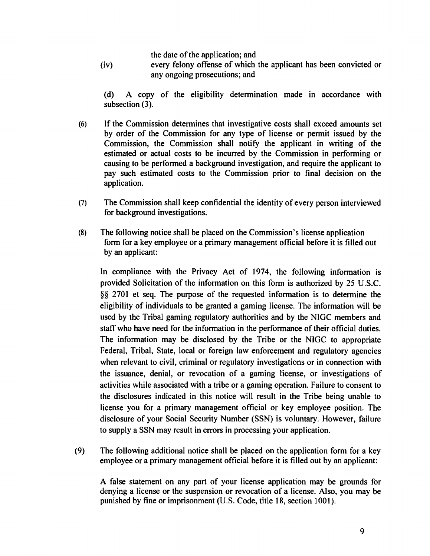the date of the application; and

(iv) every felony offense of which the applicant has been convicted or any ongoing prosecutions; and

(d) A copy of the eligibility determination made in accordance with subsection (3).

- (6) If the Commission determines that investigative costs shall exceed amounts set by order of the Commission for any type of license or permit issued by the Commission, the Commission shall notify the applicant in writing of the estimated or actual costs to be incurred by the Commission in performing or causing to be performed a background investigation, and require the applicant to pay such estimated costs to the Commission prior to final decision on the application.
- (7) The Commission shall keep confidential the identity of every person interviewed for background investigations.
- (8) The following notice shall be placed on the Commission's license application form for a key employee or a primary management official before it is filled out by an applicant:

In compliance with the Privacy Act of 1974, the following information is provided Solicitation of the information on this form is authorized by 25 U.S.C. §§ 2701 et seq. The purpose of the requested information is to determine the eligibility of individuals to be granted a gaming license. The information will be used by the Tribal gaming regulatory authorities and by the NIGC members and staff who have need for the information in the performance of their official duties. The information may be disclosed by the Tribe or the NIGC to appropriate Federal, Tribal, State, local or foreign law enforcement and regulatory agencies when relevant to civil, criminal or regulatory investigations or in connection with the issuance, denial, or revocation of a gaming license, or investigations of activities while associated with a tribe or a gaming operation. Failure to consent to the disclosures indicated in this notice will result in the Tribe being unable to license you for a primary management official or key employee position. The disclosure of your Social Security Number (SSN) is voluntary. However, failure to supply a SSN may result in errors in processing your application.

(9) The following additional notice shall be placed on the application form for a key employee or a primary management official before it is filled out by an applicant:

A false statement on any part of your license application may be grounds for denying a license or the suspension or revocation of a license. Also, you may be punished by fine or imprisonment (U.S. Code, title 18, section 1001).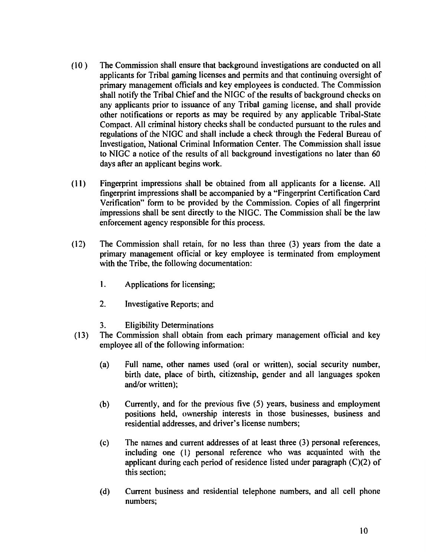- ( 10 ) The Commission shall ensure that background investigations are conducted on all applicants for Tribal gaming licenses and permits and that continuing oversight of primary management officials and key employees is conducted. The Commission shall notify the Tribal Chief and the NIGC of the results of background checks on any applicants prior to issuance of any Tribal gaming license, and shall provide other notifications or reports as may be required by any applicable Tribal-State Compact. All criminal history checks shall be conducted pursuant to the rules and regulations of the NIGC and shall include a check through the Federal Bureau of Investigation, National Criminal Information Center. The Commission shall issue to NIGC a notice of the results of all background investigations no later than 60 days after an applicant begins work.
- ( 11) Fingerprint impressions shall be obtained from all applicants for a license. All fingerprint impressions shall be accompanied by a "Fingerprint Certification Card Verification" form to be provided by the Commission. Copies of all fingerprint impressions shall be sent directly to the NIGC. The Commission shall be the law enforcement agency responsible for this process.
- ( 12) The Commission shall retain, for no less than three (3) years from the date a primary management official or key employee is terminated from employment with the Tribe, the following documentation:
	- 1. Applications for licensing;
	- 2. Investigative Reports; and
	- 3. Eligibility Determinations
- (13) The Commission shall obtain from each primary management official and key employee all of the following information:
	- (a) Full name, other names used (oral or written), social security number, birth date, place of birth, citizenship, gender and all languages spoken and/or written);
	- (b) Currently, and for the previous five (5) years, business and employment positions held, ownership interests in those businesses, business and residential addresses, and driver's license numbers;
	- ( c) The names and current addresses of at least three (3) personal references, including one (1) personal reference who was acquainted with the applicant during each period of residence listed under paragraph (C)(2) of this section;
	- (d) Current business and residential telephone numbers, and all cell phone numbers;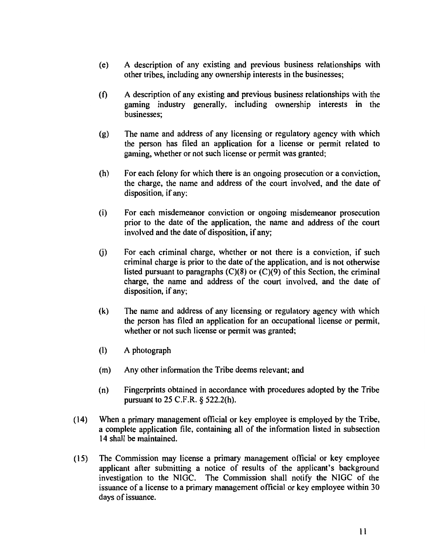- (e) A description of any existing and previous business relationships with other tribes, including any ownership interests in the businesses;
- (f) A description of any existing and previous business relationships with the gaming industry generally, including ownership interests in the businesses;
- (g) The name and address of any licensing or regulatory agency with which the person has filed an application for a license or permit related to gaming, whether or not such license or permit was granted;
- (h) For each felony for which there is an ongoing prosecution or a conviction, the charge, the name and address of the court involved, and the date of disposition, if any:
- (i) For each misdemeanor conviction or ongoing misdemeanor prosecution prior to the date of the application, the name and address of the court involved and the date of disposition, if any;
- G) For each criminal charge, whether or not there is a conviction, if such criminal charge is prior to the date of the application, and is not otherwise listed pursuant to paragraphs  $(C)(8)$  or  $(C)(9)$  of this Section, the criminal charge, the name and address of the court involved, and the date of disposition, if any;
- (k) The name and address of any licensing or regulatory agency with which the person has filed an application for an occupational license or permit, whether or not such license or permit was granted;
- (I) A photograph
- (m) Any other information the Tribe deems relevant; and
- (n) Fingerprints obtained in accordance with procedures adopted by the Tribe pursuant to 25 C.F.R. § 522.2(h).
- (14) When a primary management official or key employee is employed by the Tribe, a complete application file, containing all of the information listed in subsection 14 shall be maintained.
- (15) The Commission may license a primary management official or key employee applicant after submitting a notice of results of the applicant's background investigation to the NIGC. The Commission shall notify the NIGC of the issuance of a license to a primary management official or key employee within 30 days of issuance.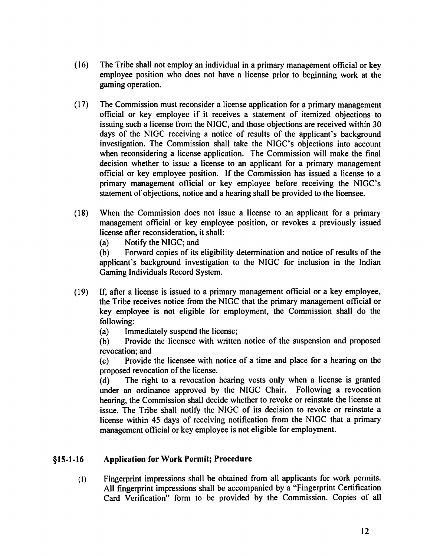- ( 16) The Tribe shall not employ an individual in a primary management official or key employee position who does not have a license prior to beginning work at the gaming operation.
- ( 17) The Commission must reconsider a license application for a primary management official or key employee if it receives a statement of itemized objections to issuing such a license from the NIGC, and those objections are received within 30 days of the NIGC receiving a notice of results of the applicant's background investigation. The Commission shall take the NIGC's objections into account when reconsidering a license application. The Commission will make the final decision whether to issue a license to an applicant for a primary management official or key employee position. If the Commission has issued a license to a primary management official or key employee before receiving the NIGC's statement of objections, notice and a hearing shall be provided to the licensee.
- (18) When the Commission does not issue a license to an applicant for a primary management official or key employee position, or revokes a previously issued license after reconsideration, it shall:
	- (a) Notify the NIGC; and

(b) Forward copies of its eligibility determination and notice of results of the applicant's background investigation to the NIGC for inclusion in the Indian Gaming Individuals Record System.

- ( 19) If, after a license is issued to a primary management official or a key employee, the Tribe receives notice from the NIGC that the primary management official or key employee is not eligible for employment, the Commission shall do the following:
	- (a) Immediately suspend the license;

(b) Provide the licensee with written notice of the suspension and proposed revocation; and

( c) Provide the licensee with notice of a time and place for a hearing on the proposed revocation of the license.

(d) The right to a revocation hearing vests only when a license is granted under an ordinance approved by the NIGC Chair. Following a revocation hearing, the Commission shall decide whether to revoke or reinstate the license at issue. The Tribe shall notify the NIGC of its decision to revoke or reinstate a license within 45 days of receiving notification from the NIGC that a primary management official or key employee is not eligible for employment.

## **§15-1-16 Application for Work Permit; Procedure**

(I) Fingerprint impressions shall be obtained from all applicants for work permits. All fingerprint impressions shall be accompanied by a "Fingerprint Certification Card Verification" form to be provided by the Commission. Copies of all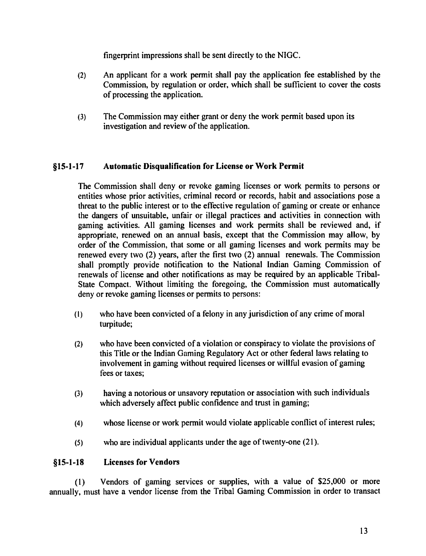fingerprint impressions shall be sent directly to the NIGC.

- (2) An applicant for a work permit shall pay the application fee established by the Commission, by regulation or order, which shall be sufficient to cover the costs of processing the application.
- (3) The Commission may either grant or deny the work permit based upon its investigation and review of the application.

#### §15-1-17 Automatic Disqualification for License or Work Permit

The Commission shall deny or revoke gaming licenses or work permits to persons or entities whose prior activities, criminal record or records, habit and associations pose a threat to the public interest or to the effective regulation of gaming or create or enhance the dangers of unsuitable, unfair or illegal practices and activities in connection with gaming activities. All gaming licenses and work permits shall be reviewed and, if appropriate, renewed on an annual basis, except that the Commission may allow, by order of the Commission, that some or all gaming licenses and work permits may be renewed every two (2) years, after the first two (2) annual renewals. The Commission shall promptly provide notification to the National Indian Gaming Commission of renewals of license and other notifications as may be required by an applicable Tribal-State Compact. Without limiting the foregoing, the Commission must automatically deny or revoke gaming licenses or permits to persons:

- (I) who have been convicted of a felony in any jurisdiction of any crime of moral turpitude;
- (2) who have been convicted of a violation or conspiracy to violate the provisions of this Title or the Indian Gaming Regulatory Act or other federal laws relating to involvement in gaming without required licenses or willful evasion of gaming fees or taxes;
- (3) having a notorious or unsavory reputation or association with such individuals which adversely affect public confidence and trust in gaming;
- (4) whose license or work permit would violate applicable conflict of interest rules;
- (5) who are individual applicants under the age of twenty-one  $(21)$ .

#### §15-1-18 Licenses for Vendors

(1) Vendors of gaming services or supplies, with a value of \$25,000 or more annually, must have a vendor license from the Tribal Gaming Commission in order to transact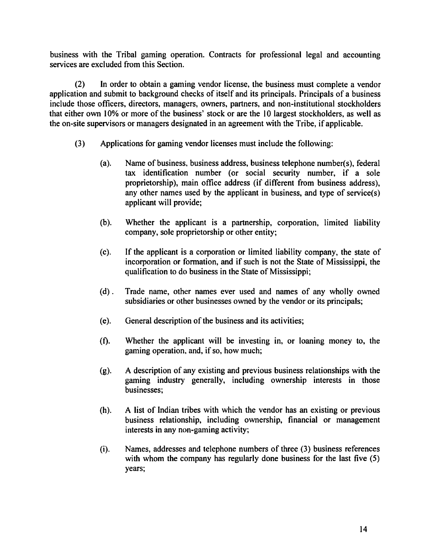business with the Tribal gaming operation. Contracts for professional legal and accounting services are excluded from this Section.

(2) In order to obtain a gaming vendor license, the business must complete a vendor application and submit to background checks of itself and its principals. Principals of a business include those officers, directors, managers, owners, partners, and non-institutional stockholders that either own 10% or more of the business' stock or are the 10 largest stockholders, as well as the on-site supervisors or managers designated in an agreement with the Tribe, if applicable.

- (3) Applications for gaming vendor licenses must include the following:
	- (a). Name of business, business address, business telephone number(s), federal tax identification number (or social security number, if a sole proprietorship), main office address (if different from business address), any other names used by the applicant in business, and type of service(s) applicant will provide;
	- (b). Whether the applicant is a partnership, corporation, limited liability company, sole proprietorship or other entity;
	- (c). If the applicant is a corporation or limited liability company, the state of incorporation or formation, and if such is not the State of Mississippi, the qualification to do business in the State of Mississippi;
	- (d). Trade name, other names ever used and names of any wholly owned subsidiaries or other businesses owned by the vendor or its principals;
	- (e). General description of the business and its activities;
	- (f). Whether the applicant will be investing in, or loaning money to, the gaming operation, and, if so, how much;
	- (g). A description of any existing and previous business relationships with the gaming industry generally, including ownership interests in those businesses;
	- (h). A list of Indian tribes with which the vendor has an existing or previous business relationship, including ownership, financial or management interests in any non-gaming activity;
	- (i). Names, addresses and telephone numbers of three (3) business references with whom the company has regularly done business for the last five (5) years;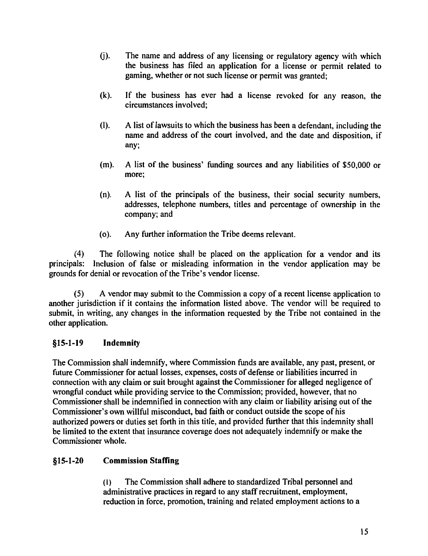- G). The name and address of any licensing or regulatory agency with which the business has filed an application for a license or permit related to gaming, whether or not such license or permit was granted;
- (k). If the business has ever had a license revoked for any reason, the circumstances involved;
- (I). A list of lawsuits to which the business has been a defendant, including the name and address of the court involved, and the date and disposition, if any;
- (m). A list of the business' funding sources and any liabilities of \$50,000 or more;
- (n). A list of the principals of the business, their social security numbers, addresses, telephone numbers, titles and percentage of ownership in the company; and
- (o). Any further information the Tribe deems relevant.

(4) The following notice shall be placed on the application for a vendor and its principals: Inclusion of false or misleading information in the vendor application may be grounds for denial or revocation of the Tribe's vendor license.

(5) A vendor may submit to the Commission a copy of a recent license application to another jurisdiction if it contains the information listed above. The vendor will be required to submit, in writing, any changes in the information requested by the Tribe not contained in the other application.

## §15-1-19 Indemnity

The Commission shall indemnify, where Commission funds are available, any past, present, or future Commissioner for actual losses, expenses, costs of defense or liabilities incurred in connection with any claim or suit brought against the Commissioner for alleged negligence of wrongful conduct while providing service to the Commission; provided, however, that no Commissioner shall be indemnified in connection with any claim or liability arising out of the Commissioner's own willful misconduct, bad faith or conduct outside the scope of his authorized powers or duties set forth in this title, and provided further that this indemnity shall be limited to the extent that insurance coverage does not adequately indemnify or make the Commissioner whole.

## §15-1-20 Commission Staffing

(I) The Commission shall adhere to standardized Tribal personnel and administrative practices in regard to any staff recruitment, employment, reduction in force, promotion, training and related employment actions to a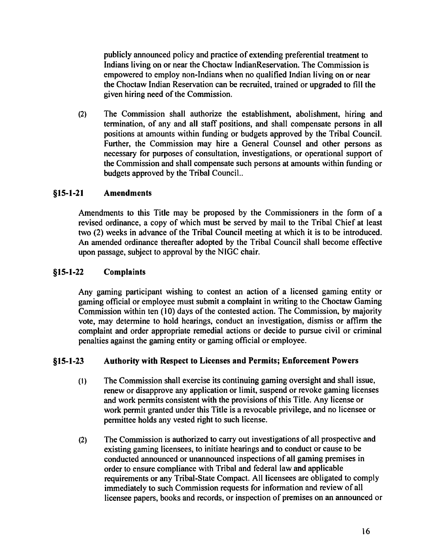publicly announced policy and practice of extending preferential treatment to Indians living on or near the Choctaw lndianReservation. The Commission is empowered to employ non-Indians when no qualified Indian living on or near the Choctaw Indian Reservation can be recruited, trained or upgraded to fill the given hiring need of the Commission.

(2) The Commission shall authorize the establishment, abolishment, hiring and termination, of any and all staff positions, and shall compensate persons in all positions at amounts within funding or budgets approved by the Tribal Council. Further, the Commission may hire a General Counsel and other persons as necessary for purposes of consultation, investigations, or operational support of the Commission and shall compensate such persons at amounts within funding or budgets approved by the Tribal Council..

#### §15-1-21 Amendments

Amendments to this Title may be proposed by the Commissioners in the form of a revised ordinance, a copy of which must be served by mail to the Tribal Chief at least two (2) weeks in advance of the Tribal Council meeting at which it is to be introduced. An amended ordinance thereafter adopted by the Tribal Council shall become effective upon passage, subject to approval by the NIGC chair.

## §15-1-22 Complaints

Any gaming participant wishing to contest an action of a licensed gaming entity or gaming official or employee must submit a complaint in writing to the Choctaw Gaming Commission within ten (10) days of the contested action. The Commission, by majority vote, may determine to hold hearings, conduct an investigation, dismiss or affirm the complaint and order appropriate remedial actions or decide to pursue civil or criminal penalties against the gaming entity or gaming official or employee.

#### §15-1-23 Authority with Respect to Licenses and Permits; Enforcement Powers

- (I) The Commission shall exercise its continuing gaming oversight and shall issue, renew or disapprove any application or limit, suspend or revoke gaming licenses and work permits consistent with the provisions of this Title. Any license or work permit granted under this Title is a revocable privilege, and no licensee or permittee holds any vested right to such license.
- (2) The Commission is authorized to carry out investigations of all prospective and existing gaming licensees, to initiate hearings and to conduct or cause to be conducted announced or unannounced inspections of all gaming premises in order to ensure compliance with Tribal and federal law and applicable requirements or any Tribal-State Compact. All licensees are obligated to comply immediately to such Commission requests for information and review of all licensee papers, books and records, or inspection of premises on an announced or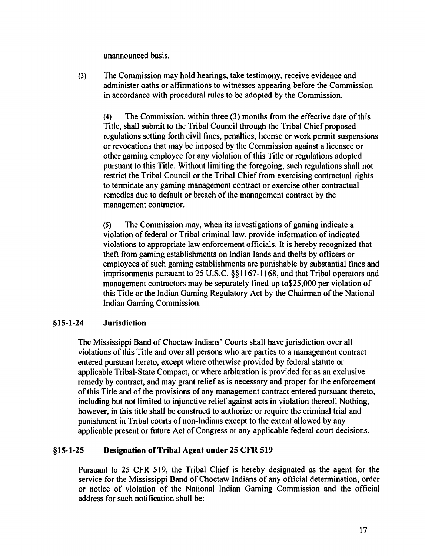unannounced basis.

(3) The Commission may hold hearings, take testimony, receive evidence and administer oaths or affirmations to witnesses appearing before the Commission in accordance with procedural rules to be adopted by the Commission.

(4) The Commission, within three (3) months from the effective date of this Title, shall submit to the Tribal Council through the Tribal Chief proposed regulations setting forth civil fines, penalties, license or work permit suspensions or revocations that may be imposed by the Commission against a licensee or other gaming employee for any violation of this Title or regulations adopted pursuant to this Title. Without limiting the foregoing, such regulations shall not restrict the Tribal Council or the Tribal Chief from exercising contractual rights to terminate any gaming management contract or exercise other contractual remedies due to default or breach of the management contract by the management contractor.

(5) The Commission may, when its investigations of gaming indicate a violation of federal or Tribal criminal law, provide information of indicated violations to appropriate law enforcement officials. It is hereby recognized that theft from gaming establishments on Indian lands and thefts by officers or employees of such gaming establishments are punishable by substantial fines and imprisonments pursuant to 25 U.S.C. §§1167-1168, and that Tribal operators and management contractors may be separately fined up to\$25,000 per violation of this Title or the Indian Gaming Regulatory Act by the Chairman of the National Indian Gaming Commission.

#### §15-1-24 Jurisdiction

The Mississippi Band of Choctaw Indians' Courts shall have jurisdiction over all violations of this Title and over all persons who are parties to a management contract entered pursuant hereto, except where otherwise provided by federal statute or applicable Tribal-State Compact, or where arbitration is provided for as an exclusive remedy by contract, and may grant relief as is necessary and proper for the enforcement of this Title and of the provisions of any management contract entered pursuant thereto, including but not limited to injunctive relief against acts in violation thereof. Nothing, however, in this title shall be construed to authorize or require the criminal trial and punishment in Tribal courts of non-Indians except to the extent allowed by any applicable present or future Act of Congress or any applicable federal court decisions.

### §15-1-25 Designation of Tribal Agent under 25 CFR 519

Pursuant to 25 CFR 519, the Tribal Chief is hereby designated as the agent for the service for the Mississippi Band of Choctaw Indians of any official determination, order or notice of violation of the National Indian Gaming Commission and the official address for such notification shall be: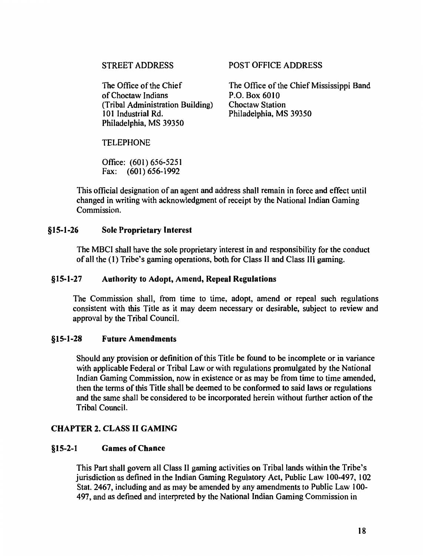### STREET ADDRESS

The Office of the Chief of Choctaw Indians (Tribal Administration Building) 101 Industrial Rd. Philadelphia, MS 39350

### POST OFFICE ADDRESS

The Office of the Chief Mississippi Band P.O. Box 6010 Choctaw Station Philadelphia, MS 39350

### TELEPHONE

Office: (601) 656-5251 Fax: (601) 656-1992

This official designation of an agent and address shall remain in force and effect until changed in writing with acknowledgment of receipt by the National Indian Gaming Commission.

### §15-1-26 Sole Proprietary Interest

The MBCI shall have the sole proprietary interest in and responsibility for the conduct of all the (1) Tribe's gaming operations, both for Class II and Class III gaming.

### §15-1-27 Authority to Adopt, Amend, Repeal Regulations

The Commission shall, from time to time, adopt, amend or repeal such regulations consistent with this Title as it may deem necessary or desirable, subject to review and approval by the Tribal Council.

### §15-1-28 Future Amendments

Should any provision or definition of this Title be found to be incomplete or in variance with applicable Federal or Tribal Law or with regulations promulgated by the National Indian Gaming Commission, now in existence or as may be from time to time amended, then the terms of this Title shall be deemed to be conformed to said laws or regulations and the same shall be considered to be incorporated herein without further action of the Tribal Council.

### CHAPTER 2. CLASS II GAMING

### §15-2-1 Games of Chance

This Part shall govern all Class II gaming activities on Tribal lands within the Tribe's jurisdiction as defined in the Indian Gaming Regulatory Act, Public Law 100-497, 102 Stat. 2467, including and as may be amended by any amendments to Public Law 100- 497, and as defined and interpreted by the National Indian Gaming Commission in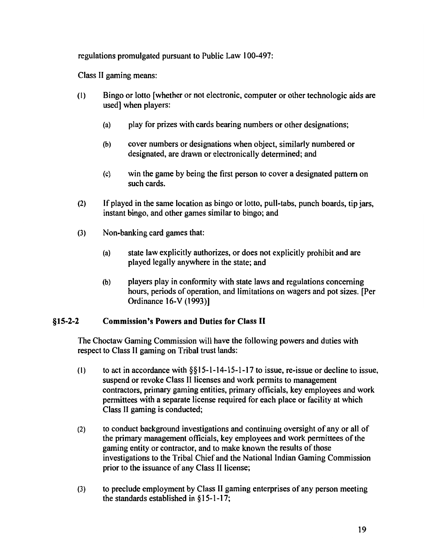regulations promulgated pursuant to Public Law I 00-497:

Class II gaming means:

- (I) Bingo or lotto [whether or not electronic, computer or other technologic aids are used] when players:
	- (a) play for prizes with cards bearing numbers or other designations;
	- (b) cover numbers or designations when object, similarly numbered or designated, are drawn or electronically determined; and
	- (c) win the game by being the first person to cover a designated pattern on such cards.
- (2) If played in the same location as bingo or lotto, pull-tabs, punch boards, tip jars, instant bingo, and other games similar to bingo; and
- (3) Non-banking card games that:
	- (a) state law explicitly authorizes, or does not explicitly prohibit and are played legally anywhere in the state; and
	- (b) players play in confonnity with state laws and regulations concerning hours, periods of operation, and limitations on wagers and pot sizes. [Per Ordinance 16-V ( 1993)]

#### §15-2-2 Commission's Powers and Duties for Class II

The Choctaw Gaming Commission will have the following powers and duties with respect to Class II gaming on Tribal trust lands:

- (1) to act in accordance with  $\S$ § 15-1-14-15-1-17 to issue, re-issue or decline to issue, suspend or revoke Class II licenses and work permits to management contractors, primary gaming entities, primary officials, key employees and work permittees with a separate license required for each place or facility at which Class II gaming is conducted;
- (2) to conduct background investigations and continuing oversight of any or all of the primary management officials, key employees and work permittees of the gaming entity or contractor, and to make known the results of those investigations to the Tribal Chief and the National Indian Gaming Commission prior to the issuance of any Class II license;
- (3) to preclude employment by Class II gaming enterprises of any person meeting the standards established in § 15-1-17;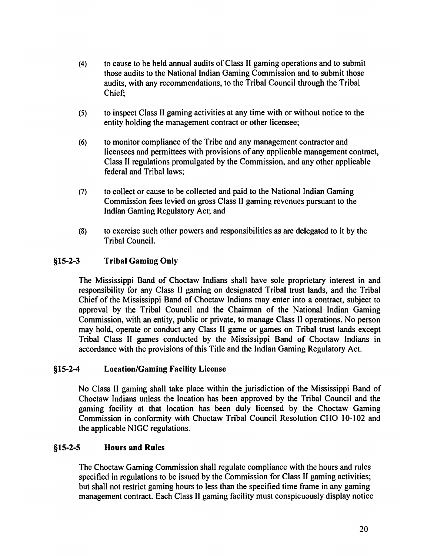- (4) to cause to be held annual audits of Class II gaming operations and to submit those audits to the National Indian Gaming Commission and to submit those audits, with any recommendations, to the Tribal Council through the Tribal Chief;
- (5) to inspect Class II gaming activities at any time with or without notice to the entity holding the management contract or other licensee;
- (6) to monitor compliance of the Tribe and any management contractor and licensees and permittees with provisions of any applicable management contract, Class II regulations promulgated by the Commission, and any other applicable federal and Tribal laws;
- (7) to collect or cause to be collected and paid to the National Indian Gaming Commission fees levied on gross Class II gaming revenues pursuant to the Indian Gaming Regulatory Act; and
- (8) to exercise such other powers and responsibilities as are delegated to it by the Tribal Council.

#### §15-2-3 Tribal Gaming Only

The Mississippi Band of Choctaw Indians shall have sole proprietary interest in and responsibility for any Class II gaming on designated Tribal trust lands, and the Tribal Chief of the Mississippi Band of Choctaw Indians may enter into a contract, subject to approval by the Tribal Council and the Chairman of the National Indian Gaming Commission, with an entity, public or private, to manage Class II operations. No person may hold, operate or conduct any Class II game or games on Tribal trust lands except Tribal Class II games conducted by the Mississippi Band of Choctaw Indians in accordance with the provisions of this Title and the Indian Gaming Regulatory Act.

### §15-2-4 Location/Gaming Facility License

No Class II gaming shall take place within the jurisdiction of the Mississippi Band of Choctaw Indians unless the location has been approved by the Tribal Council and the gaming facility at that location has been duly licensed by the Choctaw Gaming Commission in conformity with Choctaw Tribal Council Resolution CHO I 0-102 and the applicable NIGC regulations.

### §15-2-5 Hours and Rules

The Choctaw Gaming Commission shall regulate compliance with the hours and rules specified in regulations to be issued by the Commission for Class II gaming activities; but shall not restrict gaming hours to less than the specified time frame in any gaming management contract. Each Class II gaming facility must conspicuously display notice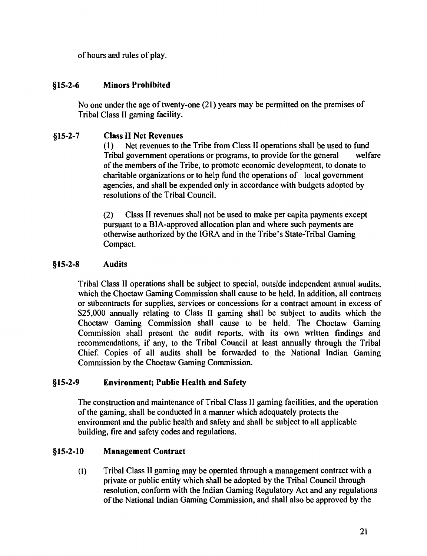of hours and rules of play.

## §15-2-6 Minors Prohibited

No one under the age of twenty-one (21) years may be permitted on the premises of Tribal Class II gaming facility.

#### §15-2-7 Class II Net Revenues

( 1) Net revenues to the Tribe from Class II operations shall be used to fund Tribal government operations or programs, to provide for the general welfare of the members of the Tribe, to promote economic development, to donate to charitable organizations or to help fund the operations of local government agencies, and shall be expended only in accordance with budgets adopted by resolutions of the Tribal Council.

(2) Class II revenues shall not be used to make per capita payments except pursuant to a BIA-approved allocation plan and where such payments are otherwise authorized by the IGRA and in the Tribe's State-Tribal Gaming Compact.

#### §15-2-8 Audits

Tribal Class II operations shall be subject to special, outside independent annual audits, which the Choctaw Gaming Commission shall cause to be held. In addition, all contracts or subcontracts for supplies, services or concessions for a contract amount in excess of \$25,000 annually relating to Class II gaming shall be subject to audits which the Choctaw Gaming Commission shall cause to be held. The Choctaw Gaming Commission shall present the audit reports, with its own written findings and recommendations, if any, to the Tribal Council at least annually through the Tribal Chief. Copies of all audits shall be forwarded to the National Indian Gaming Commission by the Choctaw Gaming Commission.

## §15-2-9 Environment; Public Health and Safety

The construction and maintenance of Tribal Class II gaming facilities, and the operation of the gaming, shall be conducted in a manner which adequately protects the environment and the public health and safety and shall be subject to all applicable building, fire and safety codes and regulations.

#### §15-2-10 Management Contract

(I) Tribal Class II gaming may be operated through a management contract with a private or public entity which shall be adopted by the Tribal Council through resolution, conform with the Indian Gaming Regulatory Act and any regulations of the National Indian Gaming Commission, and shall also be approved by the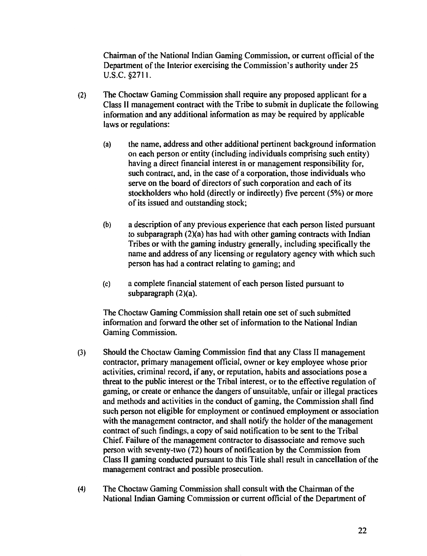Chairman of the National Indian Gaming Commission, or current official of the Department of the Interior exercising the Commission's authority under 25 u.s.c. §2711.

- (2) The Choctaw Gaming Commission shall require any proposed applicant for a Class II management contract with the Tribe to submit in duplicate the following information and any additional information as may be required by applicable laws or regulations:
	- (a) the name, address and other additional pertinent background information on each person or entity (including individuals comprising such entity) having a direct financial interest in or management responsibility for, such contract, and, in the case of a corporation, those individuals who serve on the board of directors of such corporation and each of its stockholders who hold (directly or indirectly) five percent (5%) or more of its issued and outstanding stock;
	- (b) a description of any previous experience that each person listed pursuant to subparagraph (2)(a) has had with other gaming contracts with Indian Tribes or with the gaming industry generally, including specifically the name and address of any licensing or regulatory agency with which such person has had a contract relating to gaming; and
	- (c) a complete financial statement of each person listed pursuant to subparagraph (2)(a).

The Choctaw Gaming Commission shall retain one set of such submitted information and forward the other set of information to the National Indian Gaming Commission.

- (3) Should the Choctaw Gaming Commission find that any Class II management contractor, primary management official, owner or key employee whose prior activities, criminal record, if any, or reputation, habits and associations pose a threat to the public interest or the Tribal interest, or to the effective regulation of gaming, or create or enhance the dangers of unsuitable, unfair or illegal practices and methods and activities in the conduct of gaming, the Commission shall find such person not eligible for employment or continued employment or association with the management contractor, and shall notify the holder of the management contract of such findings, a copy of said notification to be sent to the Tribal Chief. Failure of the management contractor to disassociate and remove such person with seventy-two (72) hours of notification by the Commission from Class II gaming conducted pursuant to this Title shall result in cancellation of the management contract and possible prosecution.
- (4) The Choctaw Gaming Commission shall consult with the Chairman of the National Indian Gaming Commission or current official of the Department of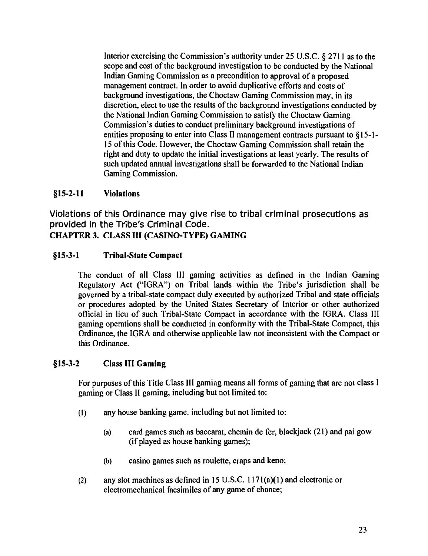Interior exercising the Commission's authority under 25 U.S.C. *§* 2711 as to the scope and cost of the background investigation to be conducted by the National Indian Gaming Commission as a precondition to approval of a proposed management contract. In order to avoid duplicative efforts and costs of background investigations, the Choctaw Gaming Commission may, in its discretion, elect to use the results of the background investigations conducted by the National Indian Gaming Commission to satisfy the Choctaw Gaming Commission's duties to conduct preliminary background investigations of entities proposing to enter into Class II management contracts pursuant to §I 5-I-I 5 of this Code. However, the Choctaw Gaming Commission shall retain the right and duty to update the initial investigations at least yearly. The results of such updated annual investigations shall be forwarded to the National Indian Gaming Commission.

#### §15-2-11 Violations

Violations of this Ordinance may give rise to tribal criminal prosecutions as provided in the Tribe's Criminal Code. CHAPTER 3. CLASS III (CASINO-TYPE) GAMING

## §15-3-1 Tribal-State Compact

The conduct of all Class III gaming activities as defined in the Indian Gaming Regulatory Act ("IGRA") on Tribal lands within the Tribe's jurisdiction shall be governed by a tribal-state compact duly executed by authorized Tribal and state officials or procedures adopted by the United States Secretary of Interior or other authorized official in lieu of such Tribal-State Compact in accordance with the IGRA. Class III gaming operations shall be conducted in conformity with the Tribal-State Compact, this Ordinance, the IGRA and otherwise applicable law not inconsistent with the Compact or this Ordinance.

### §15-3-2 Class III Gaming

For purposes of this Title Class III gaming means all forms of gaming that are not class I gaming or Class II gaming, including but not limited to:

- (I) any house banking game, including but not limited to:
	- (a) card games such as baccarat, chemin de fer, blackjack (21) and pai gow (if played as house banking games);
	- (b) casino games such as roulette, craps and keno;
- (2) any slot machines as defined in 15 U.S.C. 117l(a)(I) and electronic or electromechanical facsimiles of any game of chance;